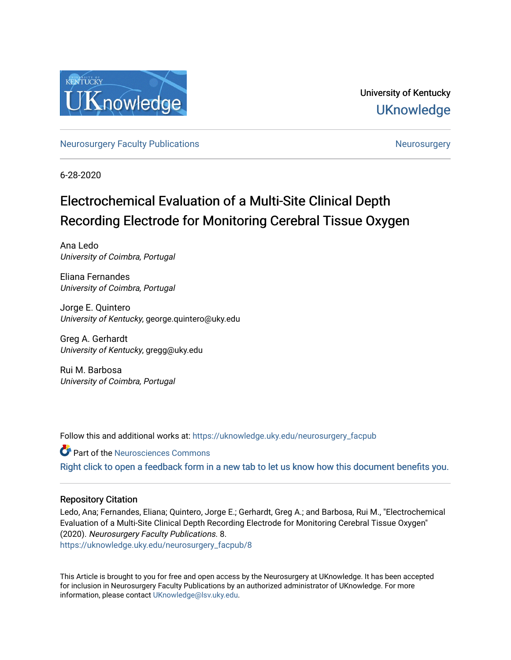

University of Kentucky **UKnowledge** 

[Neurosurgery Faculty Publications](https://uknowledge.uky.edu/neurosurgery_facpub) [Neurosurgery](https://uknowledge.uky.edu/neurosurgery) Neurosurgery

6-28-2020

# Electrochemical Evaluation of a Multi-Site Clinical Depth Recording Electrode for Monitoring Cerebral Tissue Oxygen

Ana Ledo University of Coimbra, Portugal

Eliana Fernandes University of Coimbra, Portugal

Jorge E. Quintero University of Kentucky, george.quintero@uky.edu

Greg A. Gerhardt University of Kentucky, gregg@uky.edu

Rui M. Barbosa University of Coimbra, Portugal

Follow this and additional works at: [https://uknowledge.uky.edu/neurosurgery\\_facpub](https://uknowledge.uky.edu/neurosurgery_facpub?utm_source=uknowledge.uky.edu%2Fneurosurgery_facpub%2F8&utm_medium=PDF&utm_campaign=PDFCoverPages)

**Part of the Neurosciences Commons** [Right click to open a feedback form in a new tab to let us know how this document benefits you.](https://uky.az1.qualtrics.com/jfe/form/SV_9mq8fx2GnONRfz7)

### Repository Citation

Ledo, Ana; Fernandes, Eliana; Quintero, Jorge E.; Gerhardt, Greg A.; and Barbosa, Rui M., "Electrochemical Evaluation of a Multi-Site Clinical Depth Recording Electrode for Monitoring Cerebral Tissue Oxygen" (2020). Neurosurgery Faculty Publications. 8. [https://uknowledge.uky.edu/neurosurgery\\_facpub/8](https://uknowledge.uky.edu/neurosurgery_facpub/8?utm_source=uknowledge.uky.edu%2Fneurosurgery_facpub%2F8&utm_medium=PDF&utm_campaign=PDFCoverPages)

This Article is brought to you for free and open access by the Neurosurgery at UKnowledge. It has been accepted for inclusion in Neurosurgery Faculty Publications by an authorized administrator of UKnowledge. For more information, please contact [UKnowledge@lsv.uky.edu](mailto:UKnowledge@lsv.uky.edu).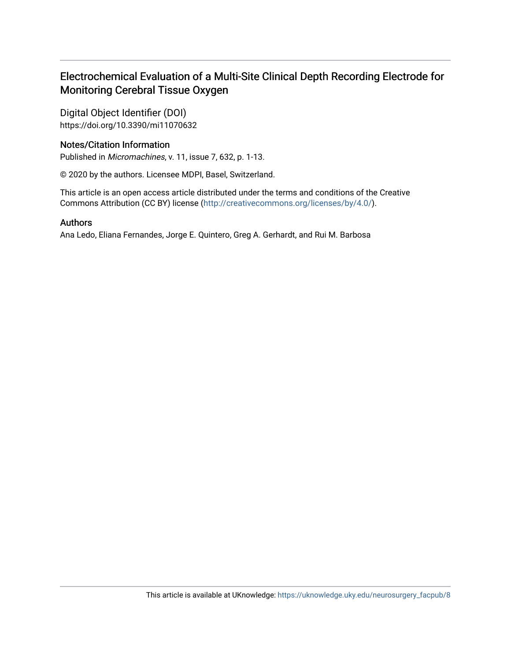# Electrochemical Evaluation of a Multi-Site Clinical Depth Recording Electrode for Monitoring Cerebral Tissue Oxygen

Digital Object Identifier (DOI) https://doi.org/10.3390/mi11070632

# Notes/Citation Information

Published in Micromachines, v. 11, issue 7, 632, p. 1-13.

© 2020 by the authors. Licensee MDPI, Basel, Switzerland.

This article is an open access article distributed under the terms and conditions of the Creative Commons Attribution (CC BY) license ([http://creativecommons.org/licenses/by/4.0/\)](http://creativecommons.org/licenses/by/4.0/).

# Authors

Ana Ledo, Eliana Fernandes, Jorge E. Quintero, Greg A. Gerhardt, and Rui M. Barbosa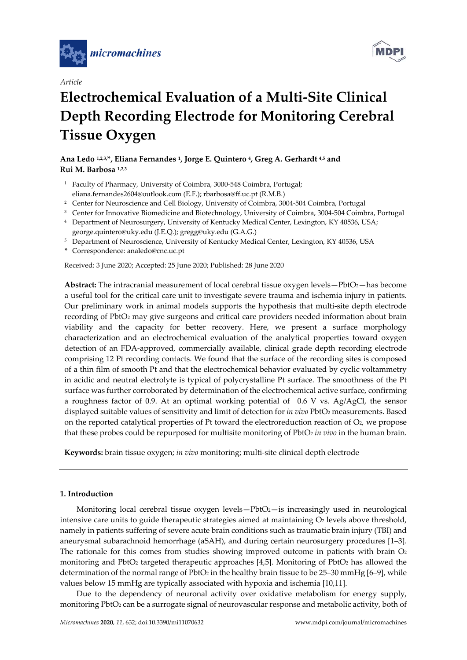





# **Electrochemical Evaluation of a Multi‐Site Clinical Depth Recording Electrode for Monitoring Cerebral Tissue Oxygen**

## **Ana Ledo 1,2,3,\*, Eliana Fernandes 1, Jorge E. Quintero 4, Greg A. Gerhardt 4,5 and Rui M. Barbosa 1,2,3**

- <sup>1</sup> Faculty of Pharmacy, University of Coimbra, 3000-548 Coimbra, Portugal; eliana.fernandes2604@outlook.com (E.F.); rbarbosa@ff.uc.pt (R.M.B.)
- <sup>2</sup> Center for Neuroscience and Cell Biology, University of Coimbra, 3004-504 Coimbra, Portugal
- <sup>3</sup> Center for Innovative Biomedicine and Biotechnology, University of Coimbra, 3004-504 Coimbra, Portugal
- <sup>4</sup> Department of Neurosurgery, University of Kentucky Medical Center, Lexington, KY 40536, USA; george.quintero@uky.edu (J.E.Q.); gregg@uky.edu (G.A.G.)
- <sup>5</sup> Department of Neuroscience, University of Kentucky Medical Center, Lexington, KY 40536, USA
- **\*** Correspondence: analedo@cnc.uc.pt

Received: 3 June 2020; Accepted: 25 June 2020; Published: 28 June 2020

Abstract: The intracranial measurement of local cerebral tissue oxygen levels—PbtO<sub>2</sub>—has become a useful tool for the critical care unit to investigate severe trauma and ischemia injury in patients. Our preliminary work in animal models supports the hypothesis that multi-site depth electrode recording of PbtO2 may give surgeons and critical care providers needed information about brain viability and the capacity for better recovery. Here, we present a surface morphology characterization and an electrochemical evaluation of the analytical properties toward oxygen detection of an FDA‐approved, commercially available, clinical grade depth recording electrode comprising 12 Pt recording contacts. We found that the surface of the recording sites is composed of a thin film of smooth Pt and that the electrochemical behavior evaluated by cyclic voltammetry in acidic and neutral electrolyte is typical of polycrystalline Pt surface. The smoothness of the Pt surface was further corroborated by determination of the electrochemical active surface, confirming a roughness factor of 0.9. At an optimal working potential of −0.6 V vs. Ag/AgCl, the sensor displayed suitable values of sensitivity and limit of detection for *in vivo* PbtO2 measurements. Based on the reported catalytical properties of Pt toward the electroreduction reaction of  $O<sub>2</sub>$ , we propose that these probes could be repurposed for multisite monitoring of PbtO2 *in vivo* in the human brain.

**Keywords:** brain tissue oxygen; *in vivo* monitoring; multi‐site clinical depth electrode

#### **1. Introduction**

Monitoring local cerebral tissue oxygen levels $-Pb$ t $O$ <sub>2</sub> $-$ is increasingly used in neurological intensive care units to guide therapeutic strategies aimed at maintaining  $O<sub>2</sub>$  levels above threshold, namely in patients suffering of severe acute brain conditions such as traumatic brain injury (TBI) and aneurysmal subarachnoid hemorrhage (aSAH), and during certain neurosurgery procedures [1–3]. The rationale for this comes from studies showing improved outcome in patients with brain  $O<sub>2</sub>$ monitoring and PbtO<sub>2</sub> targeted therapeutic approaches [4,5]. Monitoring of PbtO<sub>2</sub> has allowed the determination of the normal range of PbtO<sub>2</sub> in the healthy brain tissue to be  $25-30$  mmHg  $[6-9]$ , while values below 15 mmHg are typically associated with hypoxia and ischemia [10,11].

Due to the dependency of neuronal activity over oxidative metabolism for energy supply, monitoring PbtO<sub>2</sub> can be a surrogate signal of neurovascular response and metabolic activity, both of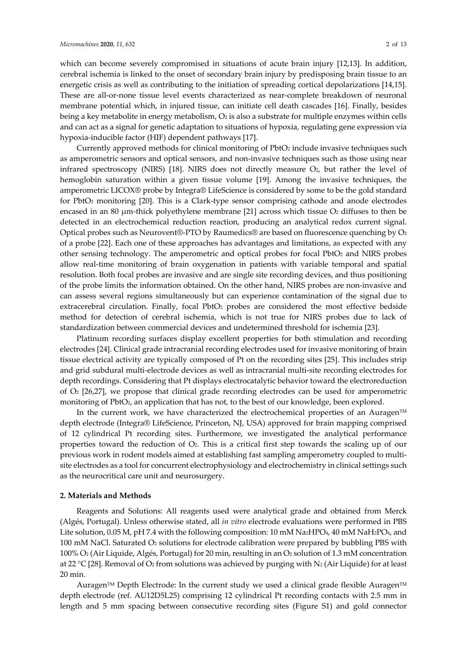which can become severely compromised in situations of acute brain injury [12,13]. In addition, cerebral ischemia is linked to the onset of secondary brain injury by predisposing brain tissue to an energetic crisis as well as contributing to the initiation of spreading cortical depolarizations [14,15]. These are all-or-none tissue level events characterized as near-complete breakdown of neuronal membrane potential which, in injured tissue, can initiate cell death cascades [16]. Finally, besides being a key metabolite in energy metabolism,  $O_2$  is also a substrate for multiple enzymes within cells and can act as a signal for genetic adaptation to situations of hypoxia, regulating gene expression via hypoxia‐inducible factor (HIF) dependent pathways [17].

Currently approved methods for clinical monitoring of PbtO<sub>2</sub> include invasive techniques such as amperometric sensors and optical sensors, and non‐invasive techniques such as those using near infrared spectroscopy (NIRS) [18]. NIRS does not directly measure O2, but rather the level of hemoglobin saturation within a given tissue volume [19]. Among the invasive techniques, the amperometric LICOX® probe by Integra® LifeScience is considered by some to be the gold standard for PbtO<sub>2</sub> monitoring [20]. This is a Clark-type sensor comprising cathode and anode electrodes encased in an 80  $\mu$ m-thick polyethylene membrane [21] across which tissue  $O_2$  diffuses to then be detected in an electrochemical reduction reaction, producing an analytical redox current signal. Optical probes such as Neurovent®-PTO by Raumedics® are based on fluorescence quenching by  $O_2$ of a probe [22]. Each one of these approaches has advantages and limitations, as expected with any other sensing technology. The amperometric and optical probes for focal PbtO2 and NIRS probes allow real‐time monitoring of brain oxygenation in patients with variable temporal and spatial resolution. Both focal probes are invasive and are single site recording devices, and thus positioning of the probe limits the information obtained. On the other hand, NIRS probes are non‐invasive and can assess several regions simultaneously but can experience contamination of the signal due to extracerebral circulation. Finally, focal PbtO<sub>2</sub> probes are considered the most effective bedside method for detection of cerebral ischemia, which is not true for NIRS probes due to lack of standardization between commercial devices and undetermined threshold for ischemia [23].

Platinum recording surfaces display excellent properties for both stimulation and recording electrodes [24]. Clinical grade intracranial recording electrodes used for invasive monitoring of brain tissue electrical activity are typically composed of Pt on the recording sites [25]. This includes strip and grid subdural multi‐electrode devices as well as intracranial multi‐site recording electrodes for depth recordings. Considering that Pt displays electrocatalytic behavior toward the electroreduction of O2 [26,27], we propose that clinical grade recording electrodes can be used for amperometric monitoring of PbtO<sub>2</sub>, an application that has not, to the best of our knowledge, been explored.

In the current work, we have characterized the electrochemical properties of an Auragen™ depth electrode (Integra® LifeScience, Princeton, NJ, USA) approved for brain mapping comprised of 12 cylindrical Pt recording sites. Furthermore, we investigated the analytical performance properties toward the reduction of  $O<sub>2</sub>$ . This is a critical first step towards the scaling up of our previous work in rodent models aimed at establishing fast sampling amperometry coupled to multisite electrodes as a tool for concurrent electrophysiology and electrochemistry in clinical settings such as the neurocritical care unit and neurosurgery.

#### **2. Materials and Methods**

Reagents and Solutions: All reagents used were analytical grade and obtained from Merck (Algés, Portugal). Unless otherwise stated, all *in vitro* electrode evaluations were performed in PBS Lite solution, 0.05 M, pH 7.4 with the following composition: 10 mM Na2HPO4, 40 mM NaH2PO4, and 100 mM NaCl. Saturated O2 solutions for electrode calibration were prepared by bubbling PBS with 100% O2 (Air Liquide, Algés, Portugal) for 20 min, resulting in an O2 solution of 1.3 mM concentration at 22 °C [28]. Removal of  $O_2$  from solutions was achieved by purging with N<sub>2</sub> (Air Liquide) for at least 20 min.

Auragen™ Depth Electrode: In the current study we used a clinical grade flexible Auragen™ depth electrode (ref. AU12D5L25) comprising 12 cylindrical Pt recording contacts with 2.5 mm in length and 5 mm spacing between consecutive recording sites (Figure S1) and gold connector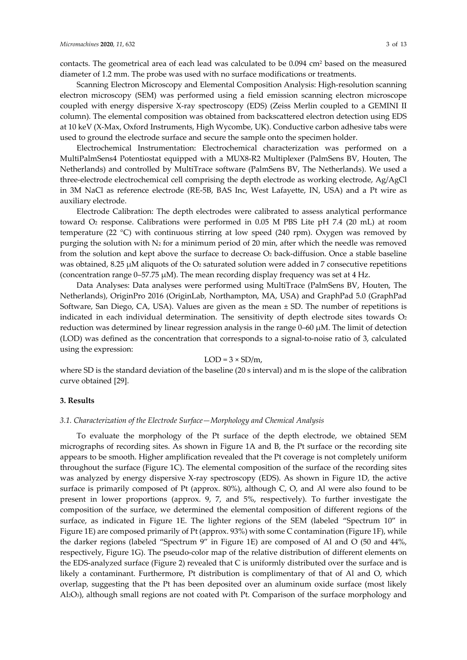contacts. The geometrical area of each lead was calculated to be 0.094 cm2 based on the measured diameter of 1.2 mm. The probe was used with no surface modifications or treatments.

Scanning Electron Microscopy and Elemental Composition Analysis: High-resolution scanning electron microscopy (SEM) was performed using a field emission scanning electron microscope coupled with energy dispersive X‐ray spectroscopy (EDS) (Zeiss Merlin coupled to a GEMINI II column). The elemental composition was obtained from backscattered electron detection using EDS at 10 keV (X‐Max, Oxford Instruments, High Wycombe, UK). Conductive carbon adhesive tabs were used to ground the electrode surface and secure the sample onto the specimen holder.

Electrochemical Instrumentation: Electrochemical characterization was performed on a MultiPalmSens4 Potentiostat equipped with a MUX8‐R2 Multiplexer (PalmSens BV, Houten, The Netherlands) and controlled by MultiTrace software (PalmSens BV, The Netherlands). We used a three‐electrode electrochemical cell comprising the depth electrode as working electrode, Ag/AgCl in 3M NaCl as reference electrode (RE‐5B, BAS Inc, West Lafayette, IN, USA) and a Pt wire as auxiliary electrode.

Electrode Calibration: The depth electrodes were calibrated to assess analytical performance toward O2 response. Calibrations were performed in 0.05 M PBS Lite pH 7.4 (20 mL) at room temperature (22 °C) with continuous stirring at low speed (240 rpm). Oxygen was removed by purging the solution with  $N_2$  for a minimum period of 20 min, after which the needle was removed from the solution and kept above the surface to decrease  $O<sub>2</sub>$  back-diffusion. Once a stable baseline was obtained, 8.25  $\mu$ M aliquots of the O<sub>2</sub> saturated solution were added in 7 consecutive repetitions (concentration range  $0-57.75 \mu M$ ). The mean recording display frequency was set at 4 Hz.

Data Analyses: Data analyses were performed using MultiTrace (PalmSens BV, Houten, The Netherlands), OriginPro 2016 (OriginLab, Northampton, MA, USA) and GraphPad 5.0 (GraphPad Software, San Diego, CA, USA). Values are given as the mean ± SD. The number of repetitions is indicated in each individual determination. The sensitivity of depth electrode sites towards  $O<sub>2</sub>$ reduction was determined by linear regression analysis in the range 0–60 μM. The limit of detection (LOD) was defined as the concentration that corresponds to a signal‐to‐noise ratio of 3, calculated using the expression:

#### $LOD = 3 \times SD/m$ ,

where SD is the standard deviation of the baseline (20 s interval) and m is the slope of the calibration curve obtained [29].

#### **3. Results**

#### *3.1. Characterization of the Electrode Surface—Morphology and Chemical Analysis*

To evaluate the morphology of the Pt surface of the depth electrode, we obtained SEM micrographs of recording sites. As shown in Figure 1A and B, the Pt surface or the recording site appears to be smooth. Higher amplification revealed that the Pt coverage is not completely uniform throughout the surface (Figure 1C). The elemental composition of the surface of the recording sites was analyzed by energy dispersive X-ray spectroscopy (EDS). As shown in Figure 1D, the active surface is primarily composed of Pt (approx. 80%), although C, O, and Al were also found to be present in lower proportions (approx. 9, 7, and 5%, respectively). To further investigate the composition of the surface, we determined the elemental composition of different regions of the surface, as indicated in Figure 1E. The lighter regions of the SEM (labeled "Spectrum 10" in Figure 1E) are composed primarily of Pt (approx. 93%) with some C contamination (Figure 1F), while the darker regions (labeled "Spectrum 9" in Figure 1E) are composed of Al and O (50 and 44%, respectively, Figure 1G). The pseudo‐color map of the relative distribution of different elements on the EDS‐analyzed surface (Figure 2) revealed that C is uniformly distributed over the surface and is likely a contaminant. Furthermore, Pt distribution is complimentary of that of Al and O, which overlap, suggesting that the Pt has been deposited over an aluminum oxide surface (most likely Al2O3), although small regions are not coated with Pt. Comparison of the surface morphology and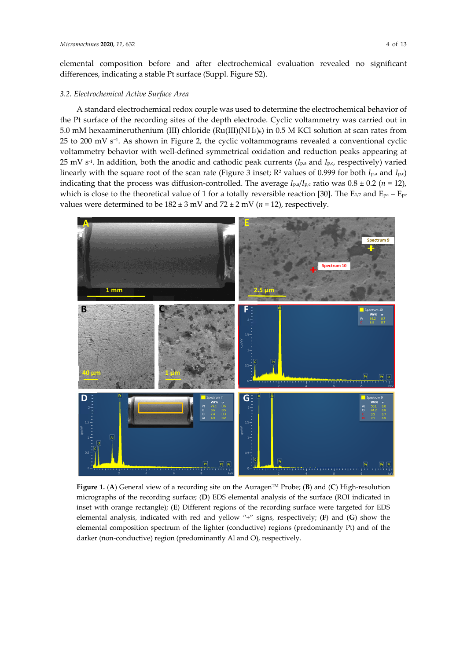elemental composition before and after electrochemical evaluation revealed no significant differences, indicating a stable Pt surface (Suppl. Figure S2).

#### *3.2. Electrochemical Active Surface Area*

A standard electrochemical redox couple was used to determine the electrochemical behavior of the Pt surface of the recording sites of the depth electrode. Cyclic voltammetry was carried out in 5.0 mM hexaamineruthenium (III) chloride (Ru(III)(NH3)6) in 0.5 M KCl solution at scan rates from 25 to 200 mV s<sup>-1</sup>. As shown in Figure 2, the cyclic voltammograms revealed a conventional cyclic voltammetry behavior with well‐defined symmetrical oxidation and reduction peaks appearing at 25 mV s‐1. In addition, both the anodic and cathodic peak currents (*I*p,a and *I*p,c, respectively) varied linearly with the square root of the scan rate (Figure 3 inset; R2 values of 0.999 for both *I*p,a and *I*p,c) indicating that the process was diffusion-controlled. The average  $I_{p,a}/I_{p,c}$  ratio was  $0.8 \pm 0.2$  (*n* = 12), which is close to the theoretical value of 1 for a totally reversible reaction [30]. The E<sub>1/2</sub> and E<sub>pa</sub> – E<sub>pc</sub> values were determined to be  $182 \pm 3$  mV and  $72 \pm 2$  mV ( $n = 12$ ), respectively.



**Figure 1.** (**A**) General view of a recording site on the AuragenTM Probe; (**B**) and (**C**) High‐resolution micrographs of the recording surface; (**D**) EDS elemental analysis of the surface (ROI indicated in inset with orange rectangle); (**E**) Different regions of the recording surface were targeted for EDS elemental analysis, indicated with red and yellow "+" signs, respectively; (**F**) and (**G**) show the elemental composition spectrum of the lighter (conductive) regions (predominantly Pt) and of the darker (non-conductive) region (predominantly Al and O), respectively.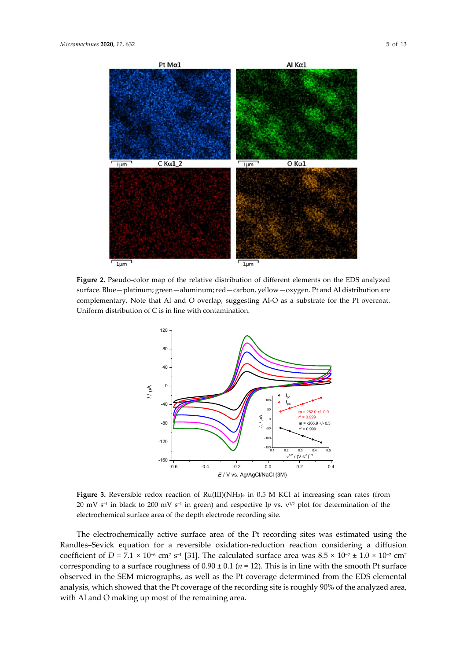

**Figure 2.** Pseudo‐color map of the relative distribution of different elements on the EDS analyzed surface. Blue—platinum; green—aluminum; red—carbon, yellow—oxygen. Pt and Al distribution are complementary. Note that Al and O overlap, suggesting Al-O as a substrate for the Pt overcoat. Uniform distribution of C is in line with contamination.



**Figure 3.** Reversible redox reaction of Ru(III)(NH3)6 in 0.5 M KCl at increasing scan rates (from 20 mV s<sup>−1</sup> in black to 200 mV s<sup>−1</sup> in green) and respective Ip vs.  $v^{1/2}$  plot for determination of the electrochemical surface area of the depth electrode recording site.

The electrochemically active surface area of the Pt recording sites was estimated using the Randles–Sevick equation for a reversible oxidation‐reduction reaction considering a diffusion coefficient of *D* = 7.1 × 10<sup>-6</sup> cm<sup>2</sup> s<sup>-1</sup> [31]. The calculated surface area was  $8.5 \times 10^{-2} \pm 1.0 \times 10^{-2}$  cm<sup>2</sup> corresponding to a surface roughness of  $0.90 \pm 0.1$  ( $n = 12$ ). This is in line with the smooth Pt surface observed in the SEM micrographs, as well as the Pt coverage determined from the EDS elemental analysis, which showed that the Pt coverage of the recording site is roughly 90% of the analyzed area, with Al and O making up most of the remaining area.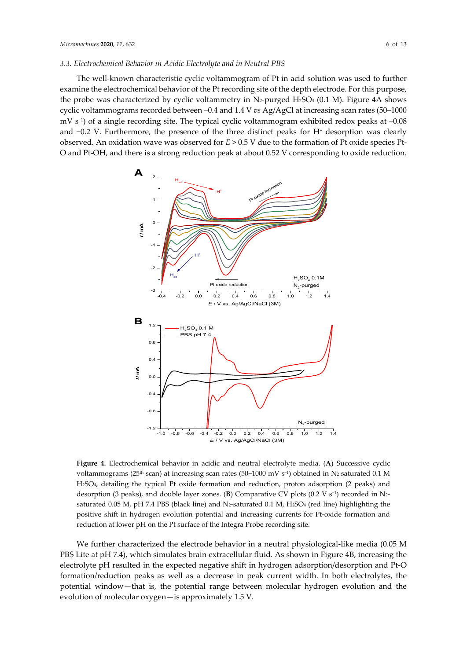#### *3.3. Electrochemical Behavior in Acidic Electrolyte and in Neutral PBS*

The well‐known characteristic cyclic voltammogram of Pt in acid solution was used to further examine the electrochemical behavior of the Pt recording site of the depth electrode. For this purpose, the probe was characterized by cyclic voltammetry in  $N_z$ -purged H<sub>2</sub>SO<sub>4</sub> (0.1 M). Figure 4A shows cyclic voltammograms recorded between −0.4 and 1.4 V *vs* Ag/AgCl at increasing scan rates (50–1000 mV s−1) of a single recording site. The typical cyclic voltammogram exhibited redox peaks at −0.08 and  $-0.2$  V. Furthermore, the presence of the three distinct peaks for H<sup>+</sup> desorption was clearly observed. An oxidation wave was observed for *E* > 0.5 V due to the formation of Pt oxide species Pt‐ O and Pt‐OH, and there is a strong reduction peak at about 0.52 V corresponding to oxide reduction.



**Figure 4.** Electrochemical behavior in acidic and neutral electrolyte media. (**A**) Successive cyclic voltammograms (25<sup>th</sup> scan) at increasing scan rates (50-1000 mV s<sup>-1</sup>) obtained in N2 saturated 0.1 M H2SO4, detailing the typical Pt oxide formation and reduction, proton adsorption (2 peaks) and desorption (3 peaks), and double layer zones. (**B**) Comparative CV plots (0.2 V s<sup>−</sup>1) recorded in N2‐ saturated 0.05 M, pH 7.4 PBS (black line) and N<sub>2</sub>-saturated 0.1 M, H<sub>2</sub>SO<sub>4</sub> (red line) highlighting the positive shift in hydrogen evolution potential and increasing currents for Pt‐oxide formation and reduction at lower pH on the Pt surface of the Integra Probe recording site.

We further characterized the electrode behavior in a neutral physiological-like media (0.05 M PBS Lite at pH 7.4), which simulates brain extracellular fluid. As shown in Figure 4B, increasing the electrolyte pH resulted in the expected negative shift in hydrogen adsorption/desorption and Pt‐O formation/reduction peaks as well as a decrease in peak current width. In both electrolytes, the potential window—that is, the potential range between molecular hydrogen evolution and the evolution of molecular oxygen—is approximately 1.5 V.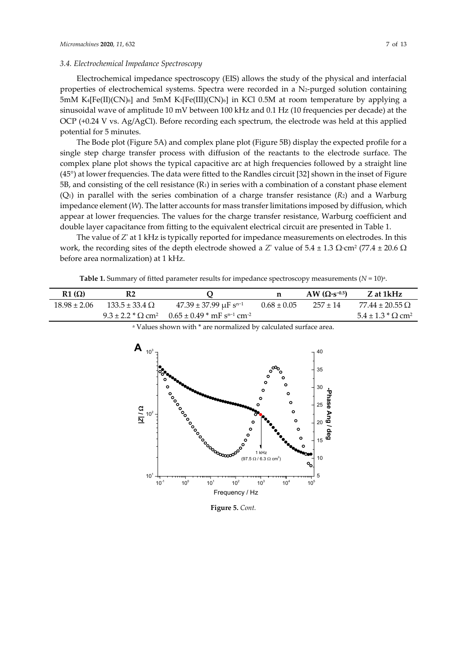#### *3.4. Electrochemical Impedance Spectroscopy*

Electrochemical impedance spectroscopy (EIS) allows the study of the physical and interfacial properties of electrochemical systems. Spectra were recorded in a N2-purged solution containing  $5 \text{mM K4[Fe(II)(CN)<sub>6</sub>}$  and  $5 \text{mM K3[Fe(III)(CN)<sub>6</sub>}$  in KCl 0.5M at room temperature by applying a sinusoidal wave of amplitude 10 mV between 100 kHz and 0.1 Hz (10 frequencies per decade) at the OCP (+0.24 V vs. Ag/AgCl). Before recording each spectrum, the electrode was held at this applied potential for 5 minutes.

The Bode plot (Figure 5A) and complex plane plot (Figure 5B) display the expected profile for a single step charge transfer process with diffusion of the reactants to the electrode surface. The complex plane plot shows the typical capacitive arc at high frequencies followed by a straight line (45°) at lower frequencies. The data were fitted to the Randles circuit [32] shown in the inset of Figure 5B, and consisting of the cell resistance (R1) in series with a combination of a constant phase element  $(Q_1)$  in parallel with the series combination of a charge transfer resistance  $(R_2)$  and a Warburg impedance element (*W*). The latter accounts for mass transferlimitations imposed by diffusion, which appear at lower frequencies. The values for the charge transfer resistance, Warburg coefficient and double layer capacitance from fitting to the equivalent electrical circuit are presented in Table 1.

The value of *Z*ʹ at 1 kHz is typically reported for impedance measurements on electrodes. In this work, the recording sites of the depth electrode showed a *Z*' value of  $5.4 \pm 1.3 \Omega$ ⋅cm<sup>2</sup> (77.4  $\pm$  20.6  $\Omega$ ) before area normalization) at 1 kHz.

**Table 1.** Summary of fitted parameter results for impedance spectroscopy measurements  $(N = 10)<sup>a</sup>$ .

| $R1(\Omega)$     | R2                      |                                                                                                 | n               | AW $(\Omega \cdot s^{-0.5})$ | Z at 1kHz                                   |
|------------------|-------------------------|-------------------------------------------------------------------------------------------------|-----------------|------------------------------|---------------------------------------------|
| $18.98 \pm 2.06$ | $133.5 \pm 33.4 \Omega$ | $47.39 \pm 37.99 \mu F s^{n-1}$                                                                 | $0.68 \pm 0.05$ | $257 + 14$                   | $77.44 \pm 20.55 \Omega$                    |
|                  |                         | $9.3 \pm 2.2$ * $\Omega$ cm <sup>2</sup> $0.65 \pm 0.49$ * mF s <sup>n-1</sup> cm <sup>-2</sup> |                 |                              | $5.4 \pm 1.3 \times \Omega$ cm <sup>2</sup> |



<sup>a</sup> Values shown with \* are normalized by calculated surface area.

**Figure 5.** *Cont.*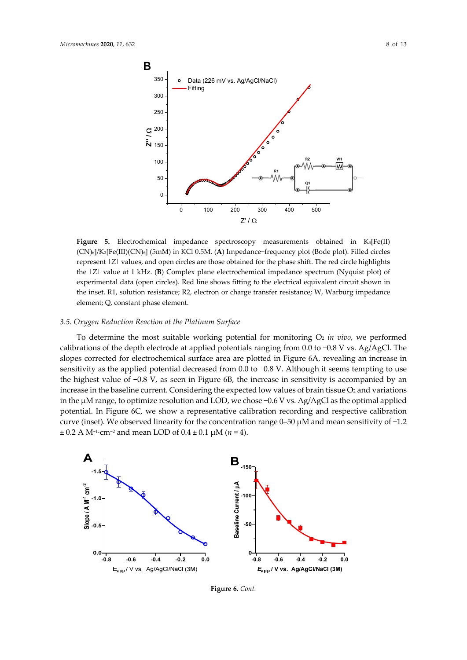

**Figure 5.** Electrochemical impedance spectroscopy measurements obtained in K4[Fe(II) (CN)6]/K3[Fe(III)(CN)6] (5mM) in KCl 0.5M. (**A**) Impedance−frequency plot (Bode plot). Filled circles represent |*Z*| values, and open circles are those obtained for the phase shift. The red circle highlights the |*Z*| value at 1 kHz. (**B**) Complex plane electrochemical impedance spectrum (Nyquist plot) of experimental data (open circles). Red line shows fitting to the electrical equivalent circuit shown in the inset. R1, solution resistance; R2, electron or charge transfer resistance; W, Warburg impedance element; Q, constant phase element.

#### *3.5. Oxygen Reduction Reaction at the Platinum Surface*

To determine the most suitable working potential for monitoring  $O_2$  *in vivo*, we performed calibrations of the depth electrode at applied potentials ranging from 0.0 to −0.8 V vs. Ag/AgCl. The slopes corrected for electrochemical surface area are plotted in Figure 6A, revealing an increase in sensitivity as the applied potential decreased from 0.0 to −0.8 V. Although it seems tempting to use the highest value of −0.8 V, as seen in Figure 6B, the increase in sensitivity is accompanied by an increase in the baseline current. Considering the expected low values of brain tissue  $O_2$  and variations in the μM range, to optimize resolution and LOD, we chose −0.6 V vs. Ag/AgCl as the optimal applied potential. In Figure 6C, we show a representative calibration recording and respective calibration curve (inset). We observed linearity for the concentration range 0–50 μM and mean sensitivity of −1.2 ± 0.2 A M−1∙cm−<sup>2</sup> and mean LOD of 0.4 ± 0.1 μM (*n* = 4).



**Figure 6.** *Cont.*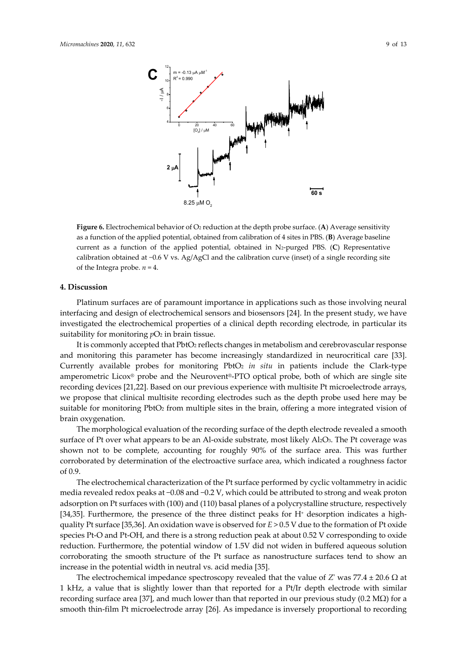



Figure 6. Electrochemical behavior of O<sub>2</sub> reduction at the depth probe surface. (A) Average sensitivity as a function of the applied potential, obtained from calibration of 4 sites in PBS. (**B**) Average baseline current as a function of the applied potential, obtained in N2‐purged PBS. (**C**) Representative calibration obtained at −0.6 V vs. Ag/AgCl and the calibration curve (inset) of a single recording site of the Integra probe.  $n = 4$ .

#### **4. Discussion**

Platinum surfaces are of paramount importance in applications such as those involving neural interfacing and design of electrochemical sensors and biosensors [24]. In the present study, we have investigated the electrochemical properties of a clinical depth recording electrode, in particular its suitability for monitoring  $pO_2$  in brain tissue.

It is commonly accepted that PbtO<sub>2</sub> reflects changes in metabolism and cerebrovascular response and monitoring this parameter has become increasingly standardized in neurocritical care [33]. Currently available probes for monitoring PbtO2 *in situ* in patients include the Clark‐type amperometric Licox® probe and the Neurovent®‐PTO optical probe, both of which are single site recording devices [21,22]. Based on our previous experience with multisite Pt microelectrode arrays, we propose that clinical multisite recording electrodes such as the depth probe used here may be suitable for monitoring PbtO<sub>2</sub> from multiple sites in the brain, offering a more integrated vision of brain oxygenation.

The morphological evaluation of the recording surface of the depth electrode revealed a smooth surface of Pt over what appears to be an Al-oxide substrate, most likely Al<sub>2</sub>O<sub>3</sub>. The Pt coverage was shown not to be complete, accounting for roughly 90% of the surface area. This was further corroborated by determination of the electroactive surface area, which indicated a roughness factor of 0.9.

The electrochemical characterization of the Pt surface performed by cyclic voltammetry in acidic media revealed redox peaks at −0.08 and −0.2 V, which could be attributed to strong and weak proton adsorption on Pt surfaces with (100) and (110) basal planes of a polycrystalline structure, respectively [34,35]. Furthermore, the presence of the three distinct peaks for  $H^+$  desorption indicates a highquality Pt surface [35,36]. An oxidation wave is observed for *E* > 0.5 V due to the formation of Pt oxide species Pt-O and Pt-OH, and there is a strong reduction peak at about 0.52 V corresponding to oxide reduction. Furthermore, the potential window of 1.5V did not widen in buffered aqueous solution corroborating the smooth structure of the Pt surface as nanostructure surfaces tend to show an increase in the potential width in neutral vs. acid media [35].

The electrochemical impedance spectroscopy revealed that the value of *Z*' was 77.4  $\pm$  20.6  $\Omega$  at 1 kHz, a value that is slightly lower than that reported for a Pt/Ir depth electrode with similar recording surface area [37], and much lower than that reported in our previous study (0.2 MΩ) for a smooth thin-film Pt microelectrode array [26]. As impedance is inversely proportional to recording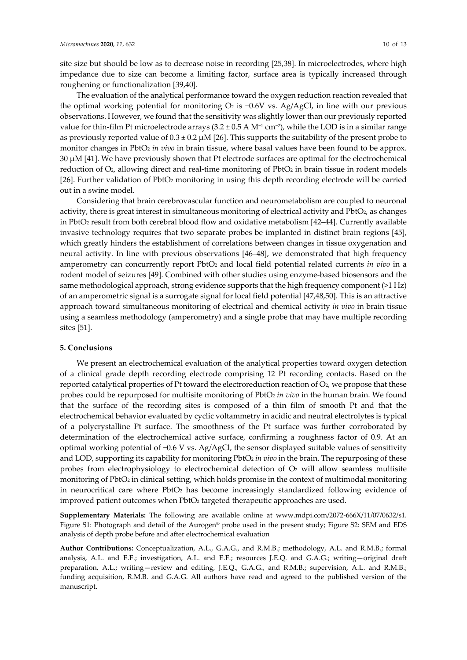site size but should be low as to decrease noise in recording [25,38]. In microelectrodes, where high impedance due to size can become a limiting factor, surface area is typically increased through roughening or functionalization [39,40].

The evaluation of the analytical performance toward the oxygen reduction reaction revealed that the optimal working potential for monitoring  $O_2$  is  $-0.6V$  vs. Ag/AgCl, in line with our previous observations. However, we found that the sensitivity was slightly lower than our previously reported value for thin-film Pt microelectrode arrays  $(3.2 \pm 0.5 \text{ A M}^{-1} \text{ cm}^{-2})$ , while the LOD is in a similar range as previously reported value of  $0.3 \pm 0.2 \mu M$  [26]. This supports the suitability of the present probe to monitor changes in PbtO<sub>2</sub> in *vivo* in brain tissue, where basal values have been found to be approx. 30 μM [41]. We have previously shown that Pt electrode surfaces are optimal for the electrochemical reduction of  $O<sub>2</sub>$ , allowing direct and real-time monitoring of Pbt $O<sub>2</sub>$  in brain tissue in rodent models [26]. Further validation of PbtO2 monitoring in using this depth recording electrode will be carried out in a swine model.

Considering that brain cerebrovascular function and neurometabolism are coupled to neuronal activity, there is great interest in simultaneous monitoring of electrical activity and PbtO<sub>2</sub>, as changes in PbtO2 result from both cerebral blood flow and oxidative metabolism [42–44]. Currently available invasive technology requires that two separate probes be implanted in distinct brain regions [45], which greatly hinders the establishment of correlations between changes in tissue oxygenation and neural activity. In line with previous observations [46–48], we demonstrated that high frequency amperometry can concurrently report PbtO2 and local field potential related currents *in vivo* in a rodent model of seizures [49]. Combined with other studies using enzyme‐based biosensors and the same methodological approach, strong evidence supports that the high frequency component (>1 Hz) of an amperometric signal is a surrogate signal for local field potential [47,48,50]. This is an attractive approach toward simultaneous monitoring of electrical and chemical activity *in vivo* in brain tissue using a seamless methodology (amperometry) and a single probe that may have multiple recording sites [51].

#### **5. Conclusions**

We present an electrochemical evaluation of the analytical properties toward oxygen detection of a clinical grade depth recording electrode comprising 12 Pt recording contacts. Based on the reported catalytical properties of Pt toward the electroreduction reaction of  $O<sub>2</sub>$ , we propose that these probes could be repurposed for multisite monitoring of PbtO<sub>2</sub> in vivo in the human brain. We found that the surface of the recording sites is composed of a thin film of smooth Pt and that the electrochemical behavior evaluated by cyclic voltammetry in acidic and neutral electrolytes is typical of a polycrystalline Pt surface. The smoothness of the Pt surface was further corroborated by determination of the electrochemical active surface, confirming a roughness factor of 0.9. At an optimal working potential of −0.6 V vs. Ag/AgCl, the sensor displayed suitable values of sensitivity and LOD, supporting its capability for monitoring PbtO<sub>2</sub> in *vivo* in the brain. The repurposing of these probes from electrophysiology to electrochemical detection of  $O<sub>2</sub>$  will allow seamless multisite monitoring of PbtO<sub>2</sub> in clinical setting, which holds promise in the context of multimodal monitoring in neurocritical care where PbtO2 has become increasingly standardized following evidence of improved patient outcomes when PbtO<sub>2</sub> targeted therapeutic approaches are used.

**Supplementary Materials:** The following are available online at www.mdpi.com/2072‐666X/11/07/0632/s1. Figure S1: Photograph and detail of the Aurogen® probe used in the present study; Figure S2: SEM and EDS analysis of depth probe before and after electrochemical evaluation

**Author Contributions:** Conceptualization, A.L., G.A.G., and R.M.B.; methodology, A.L. and R.M.B.; formal analysis, A.L. and E.F.; investigation, A.L. and E.F.; resources J.E.Q. and G.A.G.; writing—original draft preparation, A.L.; writing—review and editing, J.E.Q., G.A.G., and R.M.B.; supervision, A.L. and R.M.B.; funding acquisition, R.M.B. and G.A.G. All authors have read and agreed to the published version of the manuscript.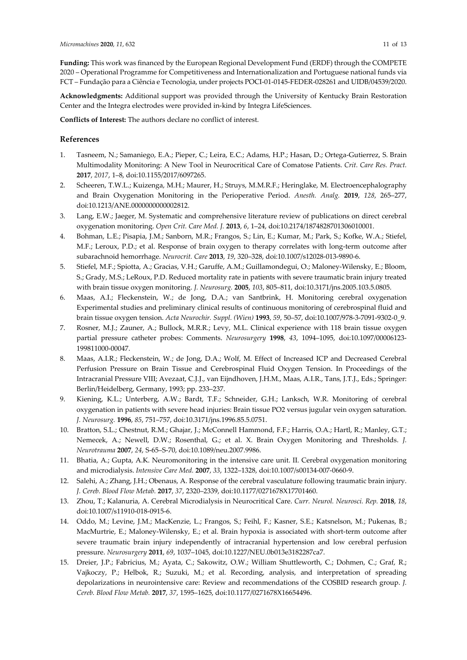**Funding:** This work was financed by the European Regional Development Fund (ERDF) through the COMPETE 2020 – Operational Programme for Competitiveness and Internationalization and Portuguese national funds via FCT – Fundação para a Ciência e Tecnologia, under projects POCI‐01‐0145‐FEDER‐028261 and UIDB/04539/2020.

**Acknowledgments:** Additional support was provided through the University of Kentucky Brain Restoration Center and the Integra electrodes were provided in‐kind by Integra LifeSciences.

**Conflicts of Interest:** The authors declare no conflict of interest.

### **References**

- 1. Tasneem, N.; Samaniego, E.A.; Pieper, C.; Leira, E.C.; Adams, H.P.; Hasan, D.; Ortega‐Gutierrez, S. Brain Multimodality Monitoring: A New Tool in Neurocritical Care of Comatose Patients. *Crit. Care Res. Pract.* **2017**, *2017*, 1–8, doi:10.1155/2017/6097265.
- 2. Scheeren, T.W.L.; Kuizenga, M.H.; Maurer, H.; Struys, M.M.R.F.; Heringlake, M. Electroencephalography and Brain Oxygenation Monitoring in the Perioperative Period. *Anesth. Analg.* **2019**, *128*, 265–277, doi:10.1213/ANE.0000000000002812.
- 3. Lang, E.W.; Jaeger, M. Systematic and comprehensive literature review of publications on direct cerebral oxygenation monitoring. *Open Crit. Care Med. J.* **2013**, *6*, 1–24, doi:10.2174/1874828701306010001.
- 4. Bohman, L.E.; Pisapia, J.M.; Sanborn, M.R.; Frangos, S.; Lin, E.; Kumar, M.; Park, S.; Kofke, W.A.; Stiefel, M.F.; Leroux, P.D.; et al. Response of brain oxygen to therapy correlates with long‐term outcome after subarachnoid hemorrhage. *Neurocrit. Care* **2013**, *19*, 320–328, doi:10.1007/s12028‐013‐9890‐6.
- 5. Stiefel, M.F.; Spiotta, A.; Gracias, V.H.; Garuffe, A.M.; Guillamondegui, O.; Maloney‐Wilensky, E.; Bloom, S.; Grady, M.S.; LeRoux, P.D. Reduced mortality rate in patients with severe traumatic brain injury treated with brain tissue oxygen monitoring. *J. Neurosurg.* **2005**, *103*, 805–811, doi:10.3171/jns.2005.103.5.0805.
- 6. Maas, A.I.; Fleckenstein, W.; de Jong, D.A.; van Santbrink, H. Monitoring cerebral oxygenation Experimental studies and preliminary clinical results of continuous monitoring of cerebrospinal fluid and brain tissue oxygen tension. *Acta Neurochir. Suppl. (Wien)* **1993**, *59*, 50–57, doi:10.1007/978‐3‐7091‐9302‐0\_9.
- 7. Rosner, M.J.; Zauner, A.; Bullock, M.R.R.; Levy, M.L. Clinical experience with 118 brain tissue oxygen partial pressure catheter probes: Comments. *Neurosurgery* **1998**, *43*, 1094–1095, doi:10.1097/00006123‐ 199811000‐00047.
- 8. Maas, A.I.R.; Fleckenstein, W.; de Jong, D.A.; Wolf, M. Effect of Increased ICP and Decreased Cerebral Perfusion Pressure on Brain Tissue and Cerebrospinal Fluid Oxygen Tension. In Proceedings of the Intracranial Pressure VIII; Avezaat, C.J.J., van Eijndhoven, J.H.M., Maas, A.I.R., Tans, J.T.J., Eds.; Springer: Berlin/Heidelberg, Germany, 1993; pp. 233–237.
- 9. Kiening, K.L.; Unterberg, A.W.; Bardt, T.F.; Schneider, G.H.; Lanksch, W.R. Monitoring of cerebral oxygenation in patients with severe head injuries: Brain tissue PO2 versus jugular vein oxygen saturation. *J. Neurosurg.* **1996**, *85*, 751–757, doi:10.3171/jns.1996.85.5.0751.
- 10. Bratton, S.L.; Chestnut, R.M.; Ghajar, J.; McConnell Hammond, F.F.; Harris, O.A.; Hartl, R.; Manley, G.T.; Nemecek, A.; Newell, D.W.; Rosenthal, G.; et al. X. Brain Oxygen Monitoring and Thresholds. *J. Neurotrauma* **2007**, *24*, S‐65–S‐70, doi:10.1089/neu.2007.9986.
- 11. Bhatia, A.; Gupta, A.K. Neuromonitoring in the intensive care unit. II. Cerebral oxygenation monitoring and microdialysis. *Intensive Care Med.* **2007**, *33*, 1322–1328, doi:10.1007/s00134‐007‐0660‐9.
- 12. Salehi, A.; Zhang, J.H.; Obenaus, A. Response of the cerebral vasculature following traumatic brain injury. *J. Cereb. Blood Flow Metab.* **2017**, *37*, 2320–2339, doi:10.1177/0271678X17701460.
- 13. Zhou, T.; Kalanuria, A. Cerebral Microdialysis in Neurocritical Care. *Curr. Neurol. Neurosci. Rep.* **2018**, *18*, doi:10.1007/s11910‐018‐0915‐6.
- 14. Oddo, M.; Levine, J.M.; MacKenzie, L.; Frangos, S.; Feihl, F.; Kasner, S.E.; Katsnelson, M.; Pukenas, B.; MacMurtrie, E.; Maloney‐Wilensky, E.; et al. Brain hypoxia is associated with short‐term outcome after severe traumatic brain injury independently of intracranial hypertension and low cerebral perfusion pressure. *Neurosurgery* **2011**, *69*, 1037–1045, doi:10.1227/NEU.0b013e3182287ca7.
- 15. Dreier, J.P.; Fabricius, M.; Ayata, C.; Sakowitz, O.W.; William Shuttleworth, C.; Dohmen, C.; Graf, R.; Vajkoczy, P.; Helbok, R.; Suzuki, M.; et al. Recording, analysis, and interpretation of spreading depolarizations in neurointensive care: Review and recommendations of the COSBID research group. *J. Cereb. Blood Flow Metab.* **2017**, *37*, 1595–1625, doi:10.1177/0271678X16654496.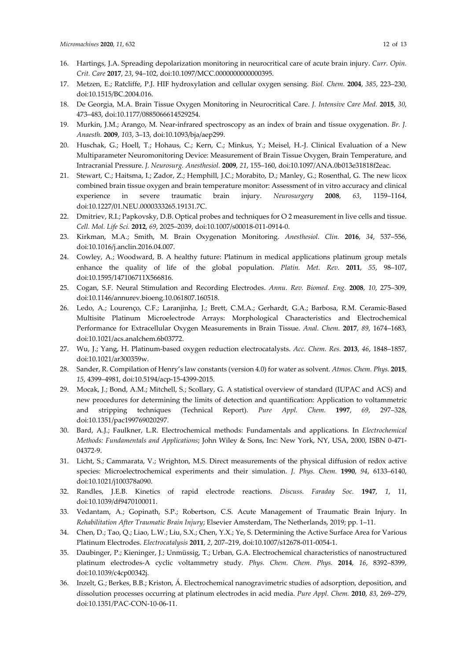- 16. Hartings, J.A. Spreading depolarization monitoring in neurocritical care of acute brain injury. *Curr. Opin. Crit. Care* **2017**, *23*, 94–102, doi:10.1097/MCC.0000000000000395.
- 17. Metzen, E.; Ratcliffe, P.J. HIF hydroxylation and cellular oxygen sensing. *Biol. Chem.* **2004**, *385*, 223–230, doi:10.1515/BC.2004.016.
- 18. De Georgia, M.A. Brain Tissue Oxygen Monitoring in Neurocritical Care. *J. Intensive Care Med.* **2015**, *30*, 473–483, doi:10.1177/0885066614529254.
- 19. Murkin, J.M.; Arango, M. Near‐infrared spectroscopy as an index of brain and tissue oxygenation. *Br. J. Anaesth.* **2009**, *103*, 3–13, doi:10.1093/bja/aep299.
- 20. Huschak, G.; Hoell, T.; Hohaus, C.; Kern, C.; Minkus, Y.; Meisel, H.‐J. Clinical Evaluation of a New Multiparameter Neuromonitoring Device: Measurement of Brain Tissue Oxygen, Brain Temperature, and Intracranial Pressure. *J. Neurosurg. Anesthesiol.* **2009**, *21*, 155–160, doi:10.1097/ANA.0b013e31818f2eac.
- 21. Stewart, C.; Haitsma, I.; Zador, Z.; Hemphill, J.C.; Morabito, D.; Manley, G.; Rosenthal, G. The new licox combined brain tissue oxygen and brain temperature monitor: Assessment of in vitro accuracy and clinical experience in severe traumatic brain injury. *Neurosurgery* **2008**, *63*, 1159–1164, doi:10.1227/01.NEU.0000333265.19131.7C.
- 22. Dmitriev, R.I.; Papkovsky, D.B. Optical probes and techniques for O 2 measurement in live cells and tissue. *Cell. Mol. Life Sci.* **2012**, *69*, 2025–2039, doi:10.1007/s00018‐011‐0914‐0.
- 23. Kirkman, M.A.; Smith, M. Brain Oxygenation Monitoring. *Anesthesiol. Clin.* **2016**, *34*, 537–556, doi:10.1016/j.anclin.2016.04.007.
- 24. Cowley, A.; Woodward, B. A healthy future: Platinum in medical applications platinum group metals enhance the quality of life of the global population. *Platin. Met. Rev.* **2011**, *55*, 98–107, doi:10.1595/147106711X566816.
- 25. Cogan, S.F. Neural Stimulation and Recording Electrodes. *Annu. Rev. Biomed. Eng.* **2008**, *10*, 275–309, doi:10.1146/annurev.bioeng.10.061807.160518.
- 26. Ledo, A.; Lourenço, C.F.; Laranjinha, J.; Brett, C.M.A.; Gerhardt, G.A.; Barbosa, R.M. Ceramic‐Based Multisite Platinum Microelectrode Arrays: Morphological Characteristics and Electrochemical Performance for Extracellular Oxygen Measurements in Brain Tissue. *Anal. Chem.* **2017**, *89*, 1674–1683, doi:10.1021/acs.analchem.6b03772.
- 27. Wu, J.; Yang, H. Platinum‐based oxygen reduction electrocatalysts. *Acc. Chem. Res.* **2013**, *46*, 1848–1857, doi:10.1021/ar300359w.
- 28. Sander, R. Compilation of Henry's law constants (version 4.0) for water as solvent. *Atmos. Chem. Phys.* **2015**, *15*, 4399–4981, doi:10.5194/acp‐15‐4399‐2015.
- 29. Mocak, J.; Bond, A.M.; Mitchell, S.; Scollary, G. A statistical overview of standard (IUPAC and ACS) and new procedures for determining the limits of detection and quantification: Application to voltammetric and stripping techniques (Technical Report). *Pure Appl. Chem.* **1997**, *69*, 297–328, doi:10.1351/pac199769020297.
- 30. Bard, A.J.; Faulkner, L.R. Electrochemical methods: Fundamentals and applications. In *Electrochemical Methods: Fundamentals and Applications*; John Wiley & Sons, Inc: New York, NY, USA, 2000, ISBN 0‐471‐ 04372‐9.
- 31. Licht, S.; Cammarata, V.; Wrighton, M.S. Direct measurements of the physical diffusion of redox active species: Microelectrochemical experiments and their simulation. *J. Phys. Chem.* **1990**, *94*, 6133–6140, doi:10.1021/j100378a090.
- 32. Randles, J.E.B. Kinetics of rapid electrode reactions. *Discuss. Faraday Soc.* **1947**, *1*, 11, doi:10.1039/df9470100011.
- 33. Vedantam, A.; Gopinath, S.P.; Robertson, C.S. Acute Management of Traumatic Brain Injury. In *Rehabilitation After Traumatic Brain Injury*; Elsevier Amsterdam, The Netherlands, 2019; pp. 1–11.
- 34. Chen, D.; Tao, Q.; Liao, L.W.; Liu, S.X.; Chen, Y.X.; Ye, S. Determining the Active Surface Area for Various Platinum Electrodes. *Electrocatalysis* **2011**, *2*, 207–219, doi:10.1007/s12678‐011‐0054‐1.
- 35. Daubinger, P.; Kieninger, J.; Unmüssig, T.; Urban, G.A. Electrochemical characteristics of nanostructured platinum electrodes‐A cyclic voltammetry study. *Phys. Chem. Chem. Phys.* **2014**, *16*, 8392–8399, doi:10.1039/c4cp00342j.
- 36. Inzelt, G.; Berkes, B.B.; Kriston, Á. Electrochemical nanogravimetric studies of adsorption, deposition, and dissolution processes occurring at platinum electrodes in acid media. *Pure Appl. Chem.* **2010**, *83*, 269–279, doi:10.1351/PAC‐CON‐10‐06‐11.